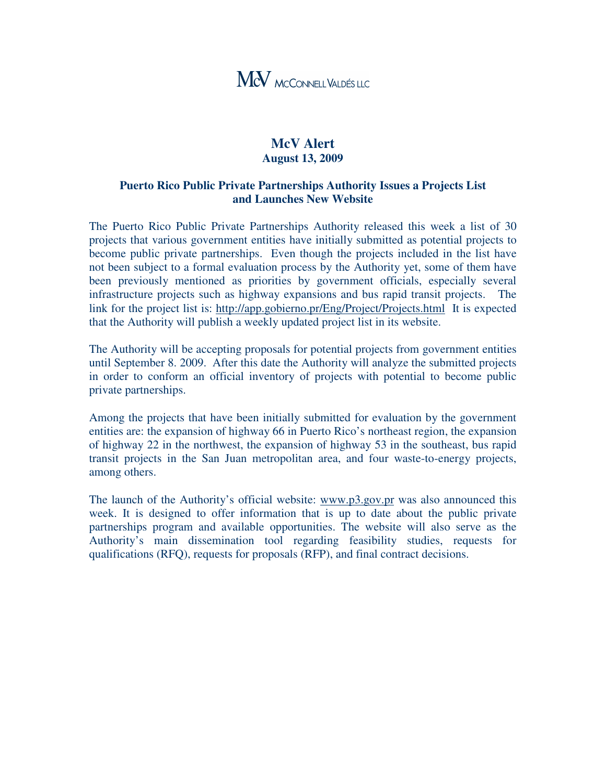

## **McV Alert August 13, 2009**

## **Puerto Rico Public Private Partnerships Authority Issues a Projects List and Launches New Website**

The Puerto Rico Public Private Partnerships Authority released this week a list of 30 projects that various government entities have initially submitted as potential projects to become public private partnerships. Even though the projects included in the list have not been subject to a formal evaluation process by the Authority yet, some of them have been previously mentioned as priorities by government officials, especially several infrastructure projects such as highway expansions and bus rapid transit projects. The link for the project list is: http://app.gobierno.pr/Eng/Project/Projects.html It is expected that the Authority will publish a weekly updated project list in its website.

The Authority will be accepting proposals for potential projects from government entities until September 8. 2009. After this date the Authority will analyze the submitted projects in order to conform an official inventory of projects with potential to become public private partnerships.

Among the projects that have been initially submitted for evaluation by the government entities are: the expansion of highway 66 in Puerto Rico's northeast region, the expansion of highway 22 in the northwest, the expansion of highway 53 in the southeast, bus rapid transit projects in the San Juan metropolitan area, and four waste-to-energy projects, among others.

The launch of the Authority's official website: www.p3.gov.pr was also announced this week. It is designed to offer information that is up to date about the public private partnerships program and available opportunities. The website will also serve as the Authority's main dissemination tool regarding feasibility studies, requests for qualifications (RFQ), requests for proposals (RFP), and final contract decisions.